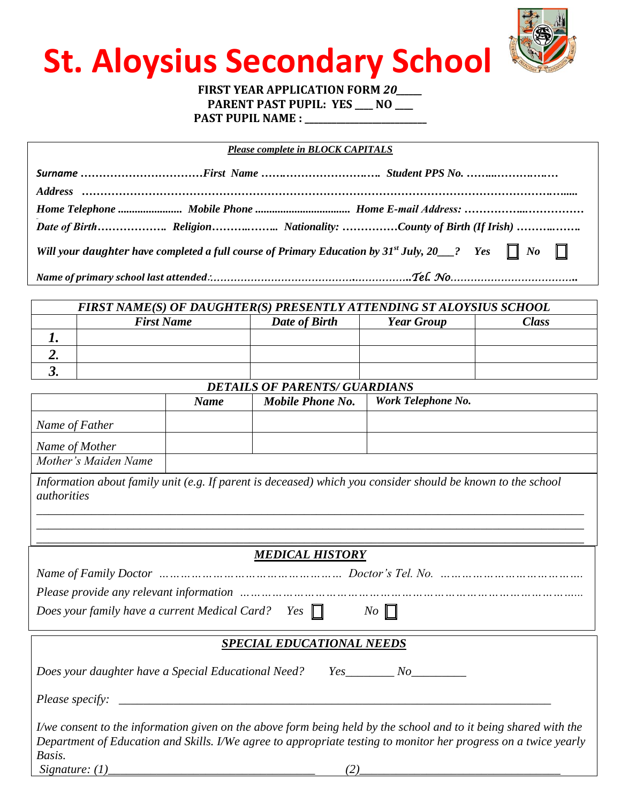

# **St. Aloysius Secondary School**

### **FIRST YEAR APPLICATION FORM** *20\_\_\_\_\_\_* **PARENT PAST PUPIL: YES \_\_\_\_ NO \_\_\_\_**

**PAST PUPIL NAME : \_\_\_\_\_\_\_\_\_\_\_\_\_\_\_\_\_\_\_\_\_\_\_\_\_\_\_**

| <b>Please complete in BLOCK CAPITALS</b> |  |                                                                                                                     |  |  |
|------------------------------------------|--|---------------------------------------------------------------------------------------------------------------------|--|--|
|                                          |  |                                                                                                                     |  |  |
|                                          |  |                                                                                                                     |  |  |
|                                          |  |                                                                                                                     |  |  |
|                                          |  |                                                                                                                     |  |  |
|                                          |  | Will your daughter have completed a full course of Primary Education by $31^{st}$ July, $20$ 2 Yes $\Box$ No $\Box$ |  |  |
|                                          |  |                                                                                                                     |  |  |

| FIRST NAME(S) OF DAUGHTER(S) PRESENTLY ATTENDING ST ALOYSIUS SCHOOL |                   |               |                   |       |  |
|---------------------------------------------------------------------|-------------------|---------------|-------------------|-------|--|
|                                                                     | <b>First Name</b> | Date of Birth | <b>Year Group</b> | Class |  |
|                                                                     |                   |               |                   |       |  |
|                                                                     |                   |               |                   |       |  |
|                                                                     |                   |               |                   |       |  |

*DETAILS OF PARENTS/ GUARDIANS*

|                                                                                                                                          | <b>Name</b> | Mobile Phone No. | Work Telephone No.                                                                                               |  |  |
|------------------------------------------------------------------------------------------------------------------------------------------|-------------|------------------|------------------------------------------------------------------------------------------------------------------|--|--|
| Name of Father                                                                                                                           |             |                  |                                                                                                                  |  |  |
| Name of Mother                                                                                                                           |             |                  |                                                                                                                  |  |  |
| Mother's Maiden Name                                                                                                                     |             |                  |                                                                                                                  |  |  |
| Information about family unit (e.g. If parent is deceased) which you consider should be known to the school<br><i><u>authorities</u></i> |             |                  |                                                                                                                  |  |  |
| <b>MEDICAL HISTORY</b>                                                                                                                   |             |                  |                                                                                                                  |  |  |
| Name of Family Doctor manufactured and manufactured and Doctor's Tel. No. manufactured and Doctor                                        |             |                  |                                                                                                                  |  |  |
| Please provide any relevant information manumand contains and the container and the provide any relevant information                     |             |                  |                                                                                                                  |  |  |
| Does your family have a current Medical Card? Yes $\Box$<br>$N_O$ $\Box$                                                                 |             |                  |                                                                                                                  |  |  |
| <b>SPECIAL EDUCATIONAL NEEDS</b>                                                                                                         |             |                  |                                                                                                                  |  |  |
| Does your daughter have a Special Educational Need? Yes_______ No_________                                                               |             |                  |                                                                                                                  |  |  |
|                                                                                                                                          |             |                  |                                                                                                                  |  |  |
|                                                                                                                                          |             |                  | I/we consent to the information given on the above form being held by the school and to it being shared with the |  |  |
| Department of Education and Skills. I/We agree to appropriate testing to monitor her progress on a twice yearly                          |             |                  |                                                                                                                  |  |  |
| Basis.                                                                                                                                   |             |                  |                                                                                                                  |  |  |
|                                                                                                                                          |             |                  |                                                                                                                  |  |  |